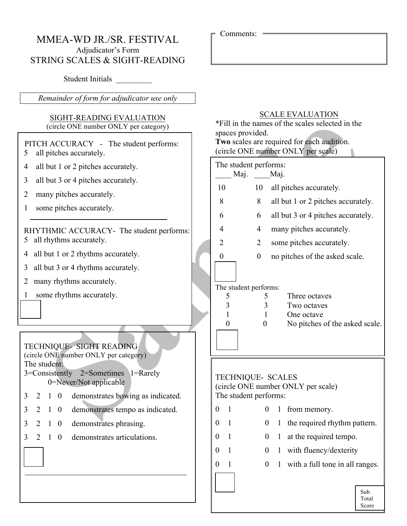## MMEA-WD JR./SR. FESTIVAL Adjudicator's Form STRING SCALES & SIGHT-READING

Student Initials

*Remainder of form for adjudicator use only*

### SIGHT-READING EVALUATION (circle ONE number ONLY per category)

### PITCH ACCURACY - The student performs: 5 all pitches accurately.

- 4 all but 1 or 2 pitches accurately.
- 3 all but 3 or 4 pitches accurately.
- 2 many pitches accurately.
- 1 some pitches accurately.

### RHYTHMIC ACCURACY- The student performs: 5 all rhythms accurately.

- 4 all but 1 or 2 rhythms accurately.
- 3 all but 3 or 4 rhythms accurately.
- 2 many rhythms accurately.
- 1 some rhythms accurately.

# TECHNIQUE- SIGHT READING

(circle ONE number ONLY per category) The student:

3=Consistently 2=Sometimes 1=Rarely 0=Never/Not applicable

- 3 2 1 0 demonstrates bowing as indicated.
- 3 2 1 0 demonstrates tempo as indicated.
- 3 2 1 0 demonstrates phrasing.
- 3 2 1 0 demonstrates articulations.

|  |  |  | $C\cap \Lambda$ LE EVALILATION |
|--|--|--|--------------------------------|

Comments:

| <b>SCALE EVALUATION</b><br>*Fill in the names of the scales selected in the<br>spaces provided.<br>Two scales are required for each audition.<br>(circle ONE number ONLY per scale) |    |                                          |                                                                                                                                                                                                                                                                 |  |  |  |  |
|-------------------------------------------------------------------------------------------------------------------------------------------------------------------------------------|----|------------------------------------------|-----------------------------------------------------------------------------------------------------------------------------------------------------------------------------------------------------------------------------------------------------------------|--|--|--|--|
| Maj.                                                                                                                                                                                |    |                                          |                                                                                                                                                                                                                                                                 |  |  |  |  |
| 10                                                                                                                                                                                  | 10 |                                          | all pitches accurately.                                                                                                                                                                                                                                         |  |  |  |  |
| 8                                                                                                                                                                                   | 8  |                                          | all but 1 or 2 pitches accurately.                                                                                                                                                                                                                              |  |  |  |  |
| 6                                                                                                                                                                                   | 6  | all but 3 or 4 pitches accurately.       |                                                                                                                                                                                                                                                                 |  |  |  |  |
| 4                                                                                                                                                                                   | 4  | many pitches accurately.                 |                                                                                                                                                                                                                                                                 |  |  |  |  |
| 2                                                                                                                                                                                   | 2  | some pitches accurately.                 |                                                                                                                                                                                                                                                                 |  |  |  |  |
| $\boldsymbol{0}$                                                                                                                                                                    | 0  | no pitches of the asked scale.           |                                                                                                                                                                                                                                                                 |  |  |  |  |
| 5<br>3<br>$\mathbf{1}$<br>$\overline{0}$                                                                                                                                            |    |                                          | Three octaves<br>Two octaves<br>One octave<br>No pitches of the asked scale.                                                                                                                                                                                    |  |  |  |  |
| 1<br>0<br>$\mathbf{1}$<br>$\boldsymbol{0}$<br>0<br>1<br>$\mathbf{1}$<br>0                                                                                                           | 0  | 1<br>1<br>$\mathbf{1}$<br>1              | the required rhythm pattern.<br>at the required tempo.<br>with fluency/dexterity<br>with a full tone in all ranges.                                                                                                                                             |  |  |  |  |
|                                                                                                                                                                                     |    | 5<br>3<br>$\mathbf{1}$<br>$\overline{0}$ | The student performs:<br>Maj.<br>The student performs:<br><b>TECHNIQUE- SCALES</b><br>(circle ONE number ONLY per scale)<br>The student performs:<br>$0 \quad 1 \quad 0 \quad 1 \quad$ from memory.<br>$\boldsymbol{0}$<br>$\boldsymbol{0}$<br>$\boldsymbol{0}$ |  |  |  |  |